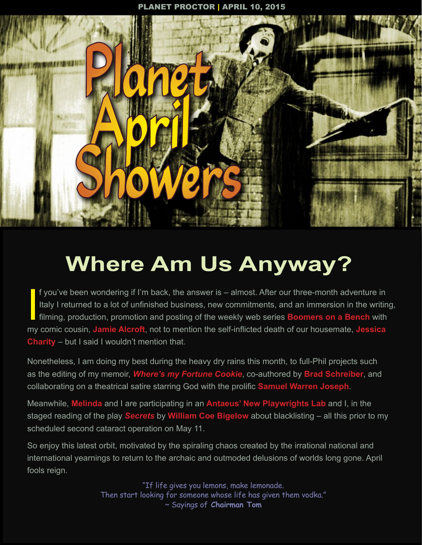

# **Where Am Us Anyway?**

If you've been wondering if I'm back, the answer is – almost. After our three-month adventure in<br>Italy I returned to a lot of unfinished business, new commitments, and an immersion in the writin<br>filming, production, promot f you've been wondering if I'm back, the answer is – almost. After our three-month adventure in Italy I returned to a lot of unfinished business, new commitments, and an immersion in the writing, filming, production, promotion and posting of the weekly web series **Boomers on a Bench** with **Charity** – but I said I wouldn't mention that.

Nonetheless, I am doing my best during the heavy dry rains this month, to full-Phil projects such as the editing of my memoir, *Where's my Fortune Cookie*, co-authored by **Brad Schreiber**, and collaborating on a theatrical satire starring God with the prolific **Samuel Warren Joseph**.

Meanwhile, **Melinda** and I are participating in an **Antaeus' New Playwrights Lab** and I, in the staged reading of the play *Secrets* by **William Coe Bigelow** about blacklisting – all this prior to my scheduled second cataract operation on May 11.

So enjoy this latest orbit, motivated by the spiraling chaos created by the irrational national and international yearnings to return to the archaic and outmoded delusions of worlds long gone. April fools reign.

> "If life gives you lemons, make lemonade. Then start looking for someone whose life has given them vodka." ~ Sayings of **Chairman Tom**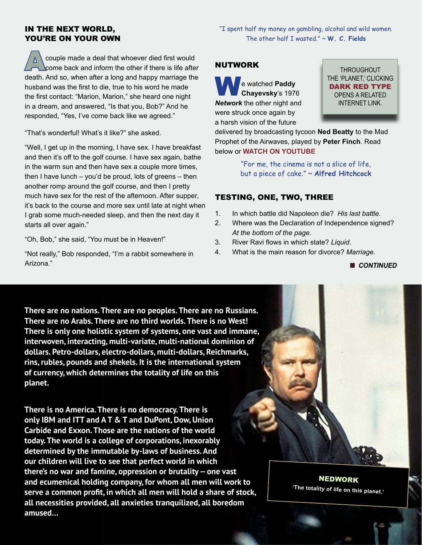#### IN THE NEXT WORLD, YOU'RE ON YOUR OWN

Couple made a deal that whoever died first would<br>
come back and inform the other if there is life after death. And so, when after a long and happy marriage the husband was the first to die, true to his word he made the first contact: "Marion, Marion," she heard one night in a dream, and answered, "Is that you, Bob?" And he responded, "Yes, I've come back like we agreed."

"That's wonderful! What's it like?" she asked.

"Well, I get up in the morning, I have sex. I have breakfast and then it's off to the golf course. I have sex again, bathe in the warm sun and then have sex a couple more times, then I have lunch – you'd be proud, lots of greens – then another romp around the golf course, and then I pretty much have sex for the rest of the afternoon. After supper, it's back to the course and more sex until late at night when I grab some much-needed sleep, and then the next day it starts all over again."

"Oh, Bob," she said, "You must be in Heaven!"

"Not really," Bob responded, "I'm a rabbit somewhere in Arizona."

"I spent half my money on gambling, alcohol and wild women. The other half I wasted." ~ **W. C. Fields**

# NUTWORK

**We watched Paddy Chayevsky**'s 1976 *Network* the other night and were struck once again by a harsh vision of the future

THROUGHOUT THE 'PLANET,' CLICKING DARK RED TYPE OPENS A RELATED INTERNET LINK.

delivered by broadcasting tycoon **Ned Beatty** to the Mad Prophet of the Airwaves, played by **Peter Finch**. Read below or **[WATCH ON YOUTUBE](https://www.youtube.com/watch?v=zI5hrcwU7Dk)**

> "For me, the cinema is not a slice of life, but a piece of cake." ~ **Alfred Hitchcock**

# TESTING, ONE, TWO, THREE

- 1. In which battle did Napoleon die? *His last battle.*
- 2. Where was the Declaration of Independence signed? *At the bottom of the page.*
- 3. River Ravi flows in which state? *Liquid*.
- 4. What is the main reason for divorce? *Marriage.*

**n** CONTINUED

**There are no nations. There are no peoples. There are no Russians. There are no Arabs. There are no third worlds. There is no West! There is only one holistic system of systems, one vast and immane, interwoven, interacting, multi-variate, multi-national dominion of dollars. Petro-dollars, electro-dollars, multi-dollars, Reichmarks, rins, rubles, pounds and shekels. It is the international system of currency, which determines the totality of life on this planet.** 

**There is no America. There is no democracy. There is only IBM and ITT and A T & T and DuPont, Dow, Union Carbide and Exxon. Those are the nations of the world today. The world is a college of corporations, inexorably determined by the immutable by-laws of business. And our children will live to see that perfect world in which there's no war and famine, oppression or brutality -- one vast and ecumenical holding company, for whom all men will work to serve a common profit, in which all men will hold a share of stock, all necessities provided, all anxieties tranquilized, all boredom amused…**

NEDWORK **'The totality of life on this planet.'**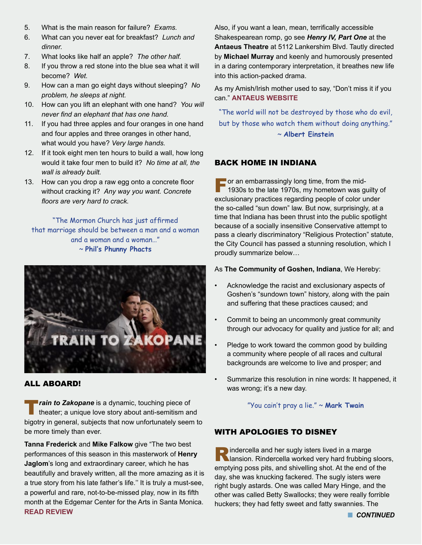- 5. What is the main reason for failure? *Exams.*
- 6. What can you never eat for breakfast? *Lunch and dinner.*
- 7. What looks like half an apple? *The other half.*
- 8. If you throw a red stone into the blue sea what it will become? *Wet.*
- 9. How can a man go eight days without sleeping? *No problem, he sleeps at night.*
- 10. How can you lift an elephant with one hand? *You will never find an elephant that has one hand.*
- 11. If you had three apples and four oranges in one hand and four apples and three oranges in other hand, what would you have? *Very large hands.*
- 12. If it took eight men ten hours to build a wall, how long would it take four men to build it? *No time at all, the wall is already built.*
- 13. How can you drop a raw egg onto a concrete floor without cracking it? *Any way you want. Concrete floors are very hard to crack.*

"The Mormon Church has just affirmed that marriage should be between a man and a woman and a woman and a woman…" ~ **Phil's Phunny Phacts**



# ALL ABOARD!

**Train to Zakopane** is a dynamic, touching piece of theater; a unique love story about anti-semitism and bigotry in general, subjects that now unfortunately seem to be more timely than ever.

**Tanna Frederick** and **Mike Falkow** give "The two best performances of this season in this masterwork of **Henry Jaglom**'s long and extraordinary career, which he has beautifully and bravely written, all the more amazing as it is a true story from his late father's life.'' It is truly a must-see, a powerful and rare, not-to-be-missed play, now in its fifth month at the Edgemar Center for the Arts in Santa Monica. **[READ REVIEW](http://grigware.blogspot.com)**

Also, if you want a lean, mean, terrifically accessible Shakespearean romp, go see *Henry IV, Part One* at the **Antaeus Theatre** at 5112 Lankershim Blvd. Tautly directed by **Michael Murray** and keenly and humorously presented in a daring contemporary interpretation, it breathes new life into this action-packed drama.

As my Amish/Irish mother used to say, "Don't miss it if you can." **[ANTAEUS WEBSITE](http://www.antaeus.org)**

"The world will not be destroyed by those who do evil, but by those who watch them without doing anything." ~ **Albert Einstein**

# BACK HOME IN INDIANA

**For an embarrassingly long time, from the mid-**<br>1930s to the late 1970s, my hometown was guilty of exclusionary practices regarding people of color under the so-called "sun down" law. But now, surprisingly, at a time that Indiana has been thrust into the public spotlight because of a socially insensitive Conservative attempt to pass a clearly discriminatory "Religious Protection" statute, the City Council has passed a stunning resolution, which I proudly summarize below…

#### As **The Community of Goshen, Indiana**, We Hereby:

- Acknowledge the racist and exclusionary aspects of Goshen's "sundown town" history, along with the pain and suffering that these practices caused; and
- Commit to being an uncommonly great community through our advocacy for quality and justice for all; and
- Pledge to work toward the common good by building a community where people of all races and cultural backgrounds are welcome to live and prosper; and
- Summarize this resolution in nine words: It happened, it was wrong; it's a new day.

"You cain't pray a lie." ~ **Mark Twain**

# WITH APOLOGIES TO DISNEY

 $\blacksquare$  indercella and her sugly isters lived in a marge **Nansion. Rindercella worked very hard frubbing sloors,** emptying poss pits, and shivelling shot. At the end of the day, she was knucking fackered. The sugly isters were right bugly astards. One was called Mary Hinge, and the other was called Betty Swallocks; they were really forrible huckers; they had fetty sweet and fatty swannies. The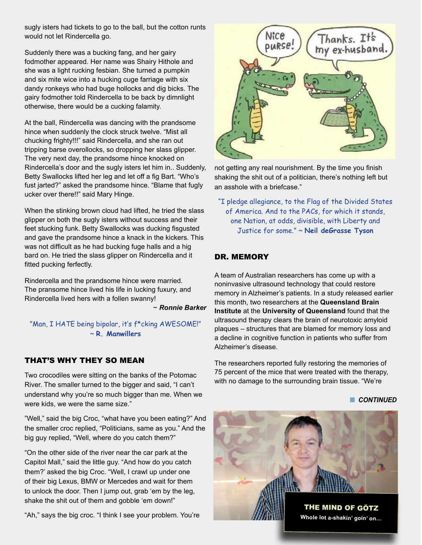sugly isters had tickets to go to the ball, but the cotton runts would not let Rindercella go.

Suddenly there was a bucking fang, and her gairy fodmother appeared. Her name was Shairy Hithole and she was a light rucking fesbian. She turned a pumpkin and six mite wice into a hucking cuge farriage with six dandy ronkeys who had buge hollocks and dig bicks. The gairy fodmother told Rindercella to be back by dimnlight otherwise, there would be a cucking falamity.

At the ball, Rindercella was dancing with the prandsome hince when suddenly the clock struck twelve. "Mist all chucking frighty!!!" said Rindercella, and she ran out tripping barse overollocks, so dropping her slass glipper. The very next day, the prandsome hince knocked on Rindercella's door and the sugly isters let him in.. Suddenly, Betty Swallocks lifted her leg and let off a fig Bart. "Who's fust jarted?" asked the prandsome hince. "Blame that fugly ucker over there!!" said Mary Hinge.

When the stinking brown cloud had lifted, he tried the slass glipper on both the sugly isters without success and their feet stucking funk. Betty Swallocks was ducking fisgusted and gave the prandsome hince a knack in the kickers. This was not difficult as he had bucking fuge halls and a hig bard on. He tried the slass glipper on Rindercella and it fitted pucking ferfectly.

Rindercella and the prandsome hince were married. The pransome hince lived his life in lucking fuxury, and Rindercella lived hers with a follen swanny!

~ *Ronnie Barker*

"Man, I HATE being bipolar, it's f\*cking AWESOME!" ~ **R. Manwillers** 

# THAT'S WHY THEY SO MEAN

Two crocodiles were sitting on the banks of the Potomac River. The smaller turned to the bigger and said, "I can't understand why you're so much bigger than me. When we were kids, we were the same size."

"Well," said the big Croc, "what have you been eating?" And the smaller croc replied, "Politicians, same as you." And the big guy replied, "Well, where do you catch them?"

"On the other side of the river near the car park at the Capitol Mall," said the little guy. "And how do you catch them?' asked the big Croc. "Well, I crawl up under one of their big Lexus, BMW or Mercedes and wait for them to unlock the door. Then I jump out, grab 'em by the leg, shake the shit out of them and gobble 'em down!"

"Ah," says the big croc. "I think I see your problem. You're



not getting any real nourishment. By the time you finish shaking the shit out of a politician, there's nothing left but an asshole with a briefcase."

"I pledge allegiance, to the Flag of the Divided States of America. And to the PACs, for which it stands, one Nation, at odds, divisible, with Liberty and Justice for some." ~ **Neil deGrasse Tyson**

# DR. MEMORY

A team of Australian researchers has come up with a noninvasive ultrasound technology that could restore memory in Alzheimer's patients. In a study released earlier this month, two researchers at the **Queensland Brain Institute** at the **University of Queensland** found that the ultrasound therapy clears the brain of neurotoxic amyloid plaques – structures that are blamed for memory loss and a decline in cognitive function in patients who suffer from Alzheimer's disease.

The researchers reported fully restoring the memories of 75 percent of the mice that were treated with the therapy, with no damage to the surrounding brain tissue. "We're

**n** CONTINUED

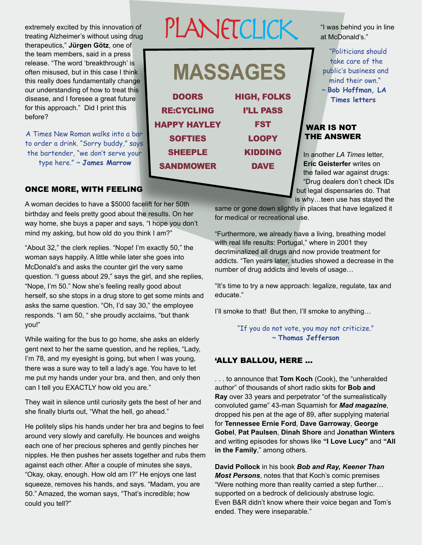extremely excited by this innovation of treating Alzheimer's without using drug therapeutics," **Jürgen Götz**, one of the team members, said in a press release. "The word 'breakthrough' is often misused, but in this case I think this really does fundamentally change our understanding of how to treat this disease, and I foresee a great future for this approach." Did I print this before?

A Times New Roman walks into a bar to order a drink. "Sorry buddy," says the bartender, "we don't serve your type here." ~ **James Marrow**

#### ONCE MORE, WITH FEELING

A woman decides to have a \$5000 facelift for her 50th birthday and feels pretty good about the results. On her way home, she buys a paper and says, "I hope you don't mind my asking, but how old do you think I am?"

"About 32," the clerk replies. "Nope! I'm exactly 50," the woman says happily. A little while later she goes into McDonald's and asks the counter girl the very same question. "I guess about 29," says the girl, and she replies, "Nope, I'm 50." Now she's feeling really good about herself, so she stops in a drug store to get some mints and asks the same question. "Oh, I'd say 30," the employee responds. "I am 50, " she proudly acclaims, "but thank you!"

While waiting for the bus to go home, she asks an elderly gent next to her the same question, and he replies, "Lady, I'm 78, and my eyesight is going, but when I was young, there was a sure way to tell a lady's age. You have to let me put my hands under your bra, and then, and only then can I tell you EXACTLY how old you are."

They wait in silence until curiosity gets the best of her and she finally blurts out, "What the hell, go ahead."

He politely slips his hands under her bra and begins to feel around very slowly and carefully. He bounces and weighs each one of her precious spheres and gently pinches her nipples. He then pushes her assets together and rubs them against each other. After a couple of minutes she says, "Okay, okay, enough. How old am I?" He enjoys one last squeeze, removes his hands, and says. "Madam, you are 50." Amazed, the woman says, "That's incredible; how could you tell?"

# PLANETCLICK

| <b>DOORS</b>        | <b>HIGH, FOLKS</b> |
|---------------------|--------------------|
| <b>RE:CYCLING</b>   | <b>I'LL PASS</b>   |
| <b>HAPPY HAYLEY</b> | <b>FST</b>         |
| <b>SOFTIES</b>      | <b>LOOPY</b>       |
| <b>SHEEPLE</b>      | <b>KIDDING</b>     |
| <b>SANDMOWER</b>    | <b>DAVE</b>        |
|                     |                    |

"I was behind you in line at McDonald's."

"Politicians should take care of the public's business and mind their own." ~ **Bob Hoffman, LA Times letters**

#### WAR IS NOT THE ANSWER

In another *LA Times* letter, **Eric Geisterfer** writes on the failed war against drugs: "Drug dealers don't check IDs but legal dispensaries do. That is why…teen use has stayed the

same or gone down slightly in places that have legalized it for medical or recreational use.

"Furthermore, we already have a living, breathing model with real life results: Portugal," where in 2001 they decriminalized all drugs and now provide treatment for addicts. "Ten years later, studies showed a decrease in the number of drug addicts and levels of usage…

"It's time to try a new approach: legalize, regulate, tax and educate."

I'll smoke to that! But then, I'll smoke to anything…

"If you do not vote, you may not criticize." ~ **Thomas Jefferson**

#### 'ALLY BALLOU, HERE ...

. . . to announce that **Tom Koch** (Cook), the "unheralded author" of thousands of short radio skits for **Bob and Ray** over 33 years and perpetrator "of the surrealistically convoluted game" 43-man Squamish for *Mad magazine*, dropped his pen at the age of 89, after supplying material for **Tennessee Ernie Ford**, **Dave Garroway**, **George Gobel**, **Pat Paulsen**, **Dinah Shore** and **Jonathan Winters** and writing episodes for shows like **"I Love Lucy"** and **"All in the Family**," among others.

**David Pollock** in his book *Bob and Ray, Keener Than Most Persons*, notes that that Koch's comic premises "Were nothing more than reality carried a step further… supported on a bedrock of deliciously abstruse logic. Even B&R didn't know where their voice began and Tom's ended. They were inseparable."